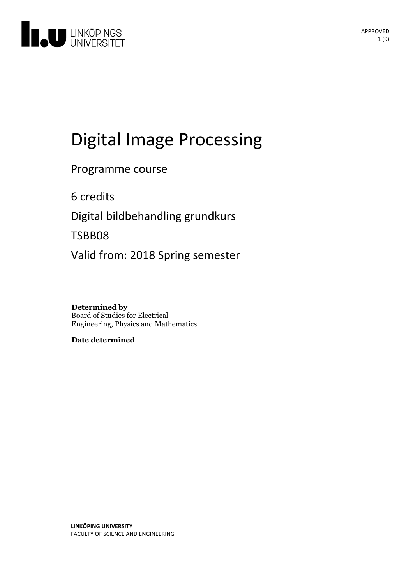

# Digital Image Processing

Programme course

6 credits

Digital bildbehandling grundkurs

TSBB08

Valid from: 2018 Spring semester

**Determined by** Board of Studies for Electrical Engineering, Physics and Mathematics

**Date determined**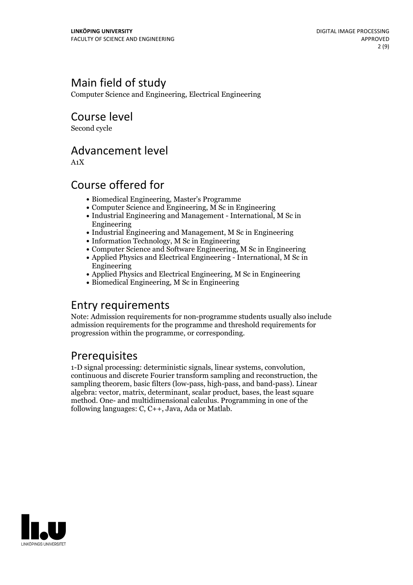## Main field of study

Computer Science and Engineering, Electrical Engineering

Course level

Second cycle

### Advancement level

A1X

### Course offered for

- Biomedical Engineering, Master's Programme
- Computer Science and Engineering, M Sc in Engineering
- Industrial Engineering and Management International, M Sc in Engineering
- Industrial Engineering and Management, M Sc in Engineering
- Information Technology, M Sc in Engineering
- Computer Science and Software Engineering, M Sc in Engineering
- Applied Physics and Electrical Engineering International, M Sc in Engineering
- Applied Physics and Electrical Engineering, M Sc in Engineering
- Biomedical Engineering, M Sc in Engineering

### Entry requirements

Note: Admission requirements for non-programme students usually also include admission requirements for the programme and threshold requirements for progression within the programme, or corresponding.

**Prerequisites**<br>1-D signal processing: deterministic signals, linear systems, convolution, continuous and discrete Fourier transform sampling and reconstruction, the sampling theorem, basic filters (low-pass, high-pass, and band-pass). Linear algebra: vector, matrix, determinant, scalar product, bases, the least square method. One- and multidimensional calculus. Programming in one of the following languages: C, C++, Java, Ada or Matlab.

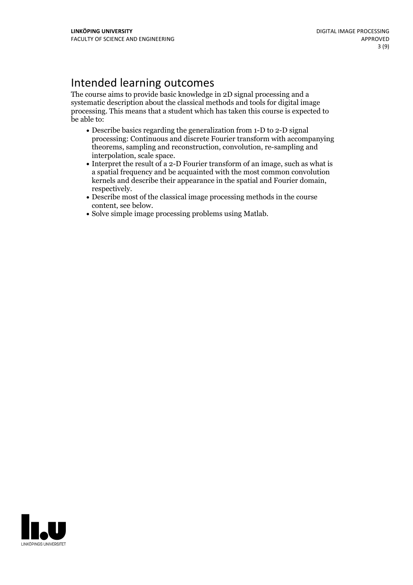### Intended learning outcomes

The course aims to provide basic knowledge in 2D signal processing and a systematic description about the classical methods and tools for digital image processing. This means that a student which has taken this course is expected to be able to:

- Describe basics regarding the generalization from 1-D to 2-D signal processing: Continuous and discrete Fourier transform with accompanying theorems, sampling and reconstruction, convolution, re-sampling and
- $\bullet$  Interpret the result of a 2-D Fourier transform of an image, such as what is a spatial frequency and be acquainted with the most common convolution kernels and describe their appearance in the spatial and Fourier domain, respectively.<br>• Describe most of the classical image processing methods in the course content. see below.
- 
- Solve simple image processing problems using Matlab.

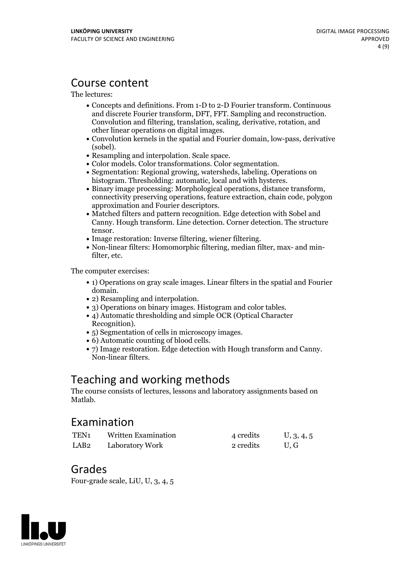### Course content

The lectures:

- Concepts and definitions. From 1-D to 2-D Fourier transform. Continuous Convolution and filtering, translation, scaling, derivative, rotation, and other linear operations on digital images. Convolution kernels in the spatial and Fourier domain, low-pass, derivative
- 
- 
- 
- (sobel).<br>
 Resampling and interpolation. Scale space.<br>
 Color models. Color transformations. Color segmentation.<br>
 Segmentation: Regional growing, watersheds, labeling. Operations on<br>
histogram. Thresholding: automatic.
- histogram. Thresholding: automatic, local and with hysteres. Binary image processing: Morphological operations, distance transform, connectivity preserving operations, feature extraction, chain code, polygon
- approximation and Fourier descriptors. Matched filters and pattern recognition. Edge detection with Sobel and Canny. Hough transform. Line detection. Corner detection. The structure
- 
- tensor.<br>• Image restoration: Inverse filtering, wiener filtering.<br>• Non-linear filters: Homomorphic filtering, median filter, max- and minfilter, etc.

The computer exercises:

- 1) Operations on gray scale images. Linear filters in the spatial and Fourier
- 
- domain.<br>
 2) Resampling and interpolation.<br>
 3) Operations on binary images. Histogram and color tables.<br>
 4) Automatic thresholding and simple OCR (Optical Character
- 
- 
- 
- Recognition).<br>
 5) Segmentation of cells in microscopy images.<br>
 6) Automatic counting of blood cells.<br>
 7) Image restoration. Edge detection with Hough transform and Canny.<br>
Non-linear filters.

### Teaching and working methods

The course consists of lectures, lessons and laboratory assignments based on Matlab.

### Examination

| TEN <sub>1</sub> | Written Examination | 4 credits | U, 3, 4, 5 |
|------------------|---------------------|-----------|------------|
| LAB <sub>2</sub> | Laboratory Work     | 2 credits | U.G        |

### Grades

Four-grade scale, LiU, U, 3, 4, 5

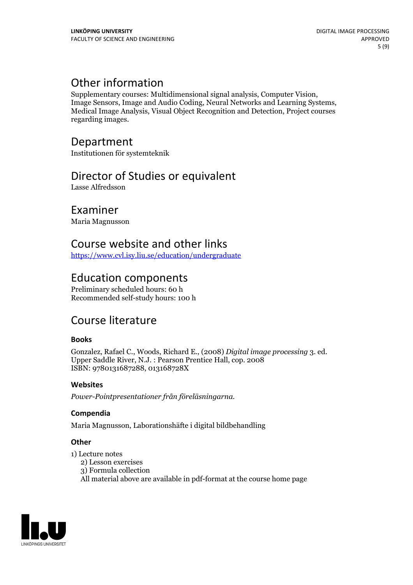Other information<br>Supplementary courses: Multidimensional signal analysis, Computer Vision, Image Sensors, Image and Audio Coding, Neural Networks and Learning Systems, Medical Image Analysis, Visual Object Recognition and Detection, Project courses regarding images.

### Department

Institutionen för systemteknik

### Director of Studies or equivalent

Lasse Alfredsson

### Examiner

Maria Magnusson

### Course website and other links

<https://www.cvl.isy.liu.se/education/undergraduate>

### Education components

Preliminary scheduled hours: 60 h Recommended self-study hours: 100 h

### Course literature

#### **Books**

Gonzalez, Rafael C., Woods, Richard E., (2008) *Digital image processing* 3. ed. Upper Saddle River, N.J. : Pearson Prentice Hall, cop. <sup>2008</sup> ISBN: 9780131687288, 013168728X

#### **Websites**

*Power-Pointpresentationer från föreläsningarna.*

#### **Compendia**

Maria Magnusson, Laborationshäfte i digital bildbehandling

#### **Other**

1) Lecture notes

- 2) Lesson exercises
- 3) Formula collection
- All material above are available in pdf-format at the course home page

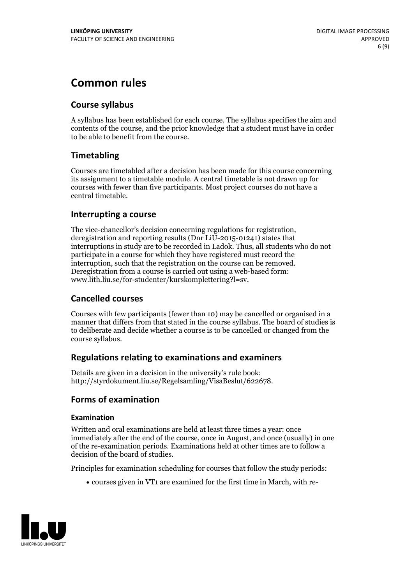## **Common rules**

### **Course syllabus**

A syllabus has been established for each course. The syllabus specifies the aim and contents of the course, and the prior knowledge that a student must have in order to be able to benefit from the course.

### **Timetabling**

Courses are timetabled after a decision has been made for this course concerning its assignment to a timetable module. A central timetable is not drawn up for courses with fewer than five participants. Most project courses do not have a central timetable.

#### **Interrupting a course**

The vice-chancellor's decision concerning regulations for registration, deregistration and reporting results (Dnr LiU-2015-01241) states that interruptions in study are to be recorded in Ladok. Thus, all students who do not participate in a course for which they have registered must record the interruption, such that the registration on the course can be removed. Deregistration from <sup>a</sup> course is carried outusing <sup>a</sup> web-based form: www.lith.liu.se/for-studenter/kurskomplettering?l=sv.

### **Cancelled courses**

Courses with few participants (fewer than 10) may be cancelled or organised in a manner that differs from that stated in the course syllabus. The board of studies is to deliberate and decide whether a course is to be cancelled orchanged from the course syllabus.

### **Regulations relatingto examinations and examiners**

Details are given in a decision in the university's rule book: http://styrdokument.liu.se/Regelsamling/VisaBeslut/622678.

### **Forms of examination**

#### **Examination**

Written and oral examinations are held at least three times a year: once immediately after the end of the course, once in August, and once (usually) in one of the re-examination periods. Examinations held at other times are to follow a decision of the board of studies.

Principles for examination scheduling for courses that follow the study periods:

courses given in VT1 are examined for the first time in March, with re-

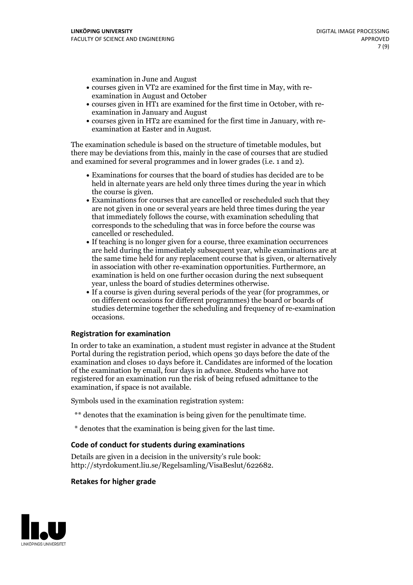examination in June and August

- courses given in VT2 are examined for the first time in May, with re-examination in August and October
- courses given in HT1 are examined for the first time in October, with re-examination in January and August
- courses given in HT2 are examined for the first time in January, with re-examination at Easter and in August.

The examination schedule is based on the structure of timetable modules, but there may be deviations from this, mainly in the case of courses that are studied and examined for several programmes and in lower grades (i.e. 1 and 2).

- Examinations for courses that the board of studies has decided are to be held in alternate years are held only three times during the year in which
- the course is given.<br>• Examinations for courses that are cancelled or rescheduled such that they are not given in one or several years are held three times during the year that immediately follows the course, with examination scheduling that corresponds to the scheduling that was in force before the course was cancelled or rescheduled.<br>• If teaching is no longer given for a course, three examination occurrences
- are held during the immediately subsequent year, while examinations are at the same time held for any replacement course that is given, or alternatively in association with other re-examination opportunities. Furthermore, an examination is held on one further occasion during the next subsequent year, unless the board of studies determines otherwise.<br>• If a course is given during several periods of the year (for programmes, or
- on different occasions for different programmes) the board orboards of studies determine together the scheduling and frequency of re-examination occasions.

#### **Registration for examination**

In order to take an examination, a student must register in advance at the Student Portal during the registration period, which opens 30 days before the date of the examination and closes 10 days before it. Candidates are informed of the location of the examination by email, four days in advance. Students who have not registered for an examination run the risk of being refused admittance to the examination, if space is not available.

Symbols used in the examination registration system:

- \*\* denotes that the examination is being given for the penultimate time.
- \* denotes that the examination is being given for the last time.

#### **Code of conduct for students during examinations**

Details are given in a decision in the university's rule book: http://styrdokument.liu.se/Regelsamling/VisaBeslut/622682.

#### **Retakes for higher grade**

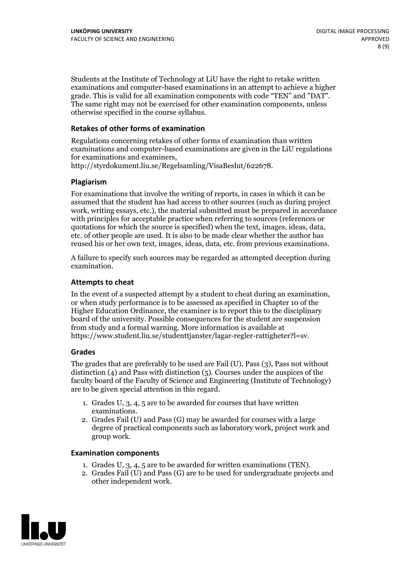Students at the Institute of Technology at LiU have the right to retake written examinations and computer-based examinations in an attempt to achieve a higher grade. This is valid for all examination components with code "TEN" and "DAT". The same right may not be exercised for other examination components, unless otherwise specified in the course syllabus.

#### **Retakes of other forms of examination**

Regulations concerning retakes of other forms of examination than written examinations and computer-based examinations are given in the LiU regulations for examinations and examiners, http://styrdokument.liu.se/Regelsamling/VisaBeslut/622678.

#### **Plagiarism**

For examinations that involve the writing of reports, in cases in which it can be assumed that the student has had access to other sources (such as during project work, writing essays, etc.), the material submitted must be prepared in accordance with principles for acceptable practice when referring to sources (references or quotations for which the source is specified) when the text, images, ideas, data, etc. of other people are used. It is also to be made clear whether the author has reused his or her own text, images, ideas, data, etc. from previous examinations.

A failure to specify such sources may be regarded as attempted deception during examination.

#### **Attempts to cheat**

In the event of <sup>a</sup> suspected attempt by <sup>a</sup> student to cheat during an examination, or when study performance is to be assessed as specified in Chapter <sup>10</sup> of the Higher Education Ordinance, the examiner is to report this to the disciplinary board of the university. Possible consequences for the student are suspension from study and a formal warning. More information is available at https://www.student.liu.se/studenttjanster/lagar-regler-rattigheter?l=sv.

#### **Grades**

The grades that are preferably to be used are Fail (U), Pass (3), Pass not without distinction  $(4)$  and Pass with distinction  $(5)$ . Courses under the auspices of the faculty board of the Faculty of Science and Engineering (Institute of Technology) are to be given special attention in this regard.

- 1. Grades U, 3, 4, 5 are to be awarded for courses that have written
- examinations. 2. Grades Fail (U) and Pass (G) may be awarded for courses with <sup>a</sup> large degree of practical components such as laboratory work, project work and group work.

#### **Examination components**

- 
- 1. Grades U, 3, 4, <sup>5</sup> are to be awarded for written examinations (TEN). 2. Grades Fail (U) and Pass (G) are to be used for undergraduate projects and other independent work.